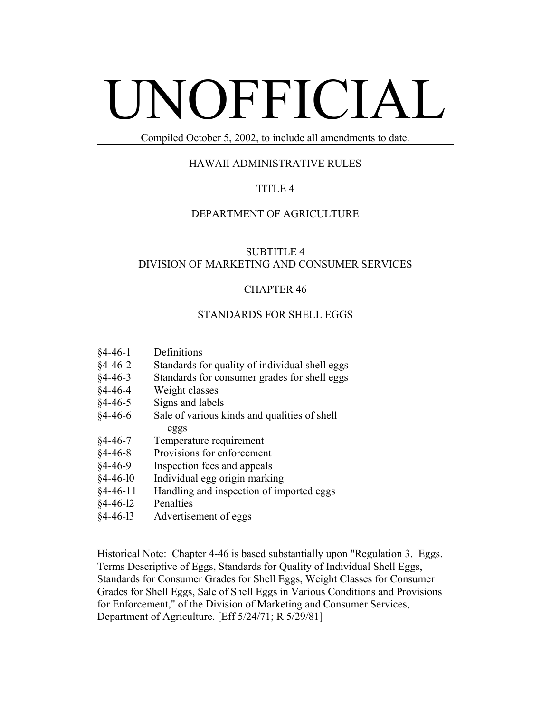# UNOFFICIAL

Compiled October 5, 2002, to include all amendments to date.

# HAWAII ADMINISTRATIVE RULES

# TITLE 4

## DEPARTMENT OF AGRICULTURE

# SUBTITLE 4 DIVISION OF MARKETING AND CONSUMER SERVICES

# CHAPTER 46

## STANDARDS FOR SHELL EGGS

- §4-46-1 Definitions
- §4-46-2 Standards for quality of individual shell eggs
- §4-46-3 Standards for consumer grades for shell eggs
- §4-46-4 Weight classes
- §4-46-5 Signs and labels
- §4-46-6 Sale of various kinds and qualities of shell eggs
- §4-46-7 Temperature requirement
- §4-46-8 Provisions for enforcement
- §4-46-9 Inspection fees and appeals
- §4-46-l0 Individual egg origin marking
- §4-46-11 Handling and inspection of imported eggs
- §4-46-l2 Penalties
- §4-46-l3 Advertisement of eggs

Historical Note: Chapter 4-46 is based substantially upon "Regulation 3. Eggs. Terms Descriptive of Eggs, Standards for Quality of Individual Shell Eggs, Standards for Consumer Grades for Shell Eggs, Weight Classes for Consumer Grades for Shell Eggs, Sale of Shell Eggs in Various Conditions and Provisions for Enforcement," of the Division of Marketing and Consumer Services, Department of Agriculture. [Eff 5/24/71; R 5/29/81]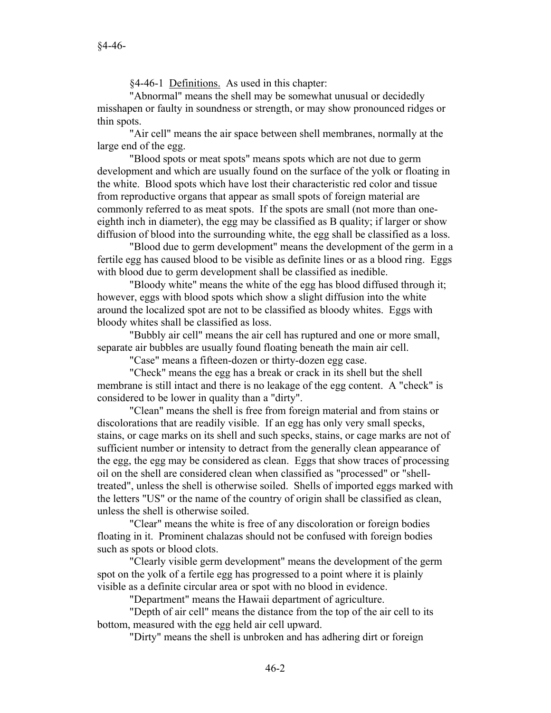§4-46-1 <u>Definitions.</u> As used in this chapter:

"Abnormal" means the shell may be somewhat unusual or decidedly misshapen or faulty in soundness or strength, or may show pronounced ridges or thin spots.

"Air cell" means the air space between shell membranes, normally at the large end of the egg.

"Blood spots or meat spots" means spots which are not due to germ development and which are usually found on the surface of the yolk or floating in the white. Blood spots which have lost their characteristic red color and tissue from reproductive organs that appear as small spots of foreign material are commonly referred to as meat spots. If the spots are small (not more than oneeighth inch in diameter), the egg may be classified as B quality; if larger or show diffusion of blood into the surrounding white, the egg shall be classified as a loss.

"Blood due to germ development" means the development of the germ in a fertile egg has caused blood to be visible as definite lines or as a blood ring. Eggs with blood due to germ development shall be classified as inedible.

"Bloody white" means the white of the egg has blood diffused through it; however, eggs with blood spots which show a slight diffusion into the white around the localized spot are not to be classified as bloody whites. Eggs with bloody whites shall be classified as loss.

"Bubbly air cell" means the air cell has ruptured and one or more small, separate air bubbles are usually found floating beneath the main air cell.

"Case" means a fifteen-dozen or thirty-dozen egg case.

"Check" means the egg has a break or crack in its shell but the shell membrane is still intact and there is no leakage of the egg content. A "check" is considered to be lower in quality than a "dirty".

"Clean" means the shell is free from foreign material and from stains or discolorations that are readily visible. If an egg has only very small specks, stains, or cage marks on its shell and such specks, stains, or cage marks are not of sufficient number or intensity to detract from the generally clean appearance of the egg, the egg may be considered as clean. Eggs that show traces of processing oil on the shell are considered clean when classified as "processed" or "shelltreated", unless the shell is otherwise soiled. Shells of imported eggs marked with the letters "US" or the name of the country of origin shall be classified as clean, unless the shell is otherwise soiled.

"Clear" means the white is free of any discoloration or foreign bodies floating in it. Prominent chalazas should not be confused with foreign bodies such as spots or blood clots.

"Clearly visible germ development" means the development of the germ spot on the yolk of a fertile egg has progressed to a point where it is plainly visible as a definite circular area or spot with no blood in evidence.

"Department" means the Hawaii department of agriculture.

"Depth of air cell" means the distance from the top of the air cell to its bottom, measured with the egg held air cell upward.

"Dirty" means the shell is unbroken and has adhering dirt or foreign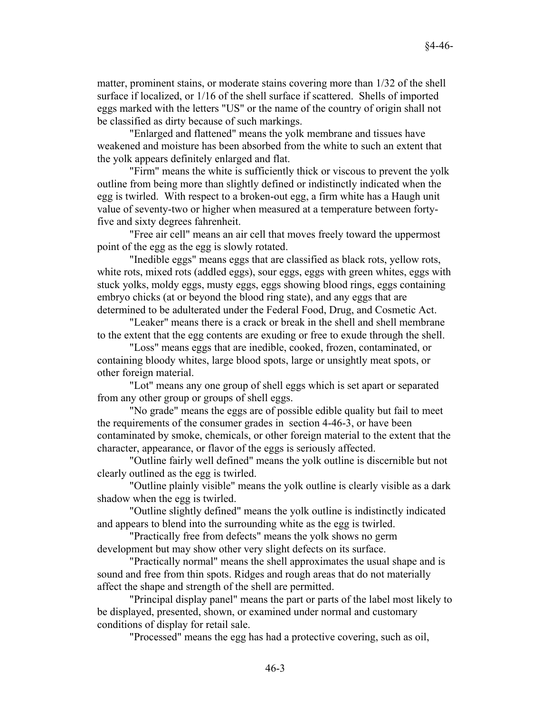matter, prominent stains, or moderate stains covering more than 1/32 of the shell surface if localized, or 1/16 of the shell surface if scattered. Shells of imported eggs marked with the letters "US" or the name of the country of origin shall not be classified as dirty because of such markings.

"Enlarged and flattened" means the yolk membrane and tissues have weakened and moisture has been absorbed from the white to such an extent that the yolk appears definitely enlarged and flat.

"Firm" means the white is sufficiently thick or viscous to prevent the yolk outline from being more than slightly defined or indistinctly indicated when the egg is twirled. With respect to a broken-out egg, a firm white has a Haugh unit value of seventy-two or higher when measured at a temperature between fortyfive and sixty degrees fahrenheit.

"Free air cell" means an air cell that moves freely toward the uppermost point of the egg as the egg is slowly rotated.

"Inedible eggs" means eggs that are classified as black rots, yellow rots, white rots, mixed rots (addled eggs), sour eggs, eggs with green whites, eggs with stuck yolks, moldy eggs, musty eggs, eggs showing blood rings, eggs containing embryo chicks (at or beyond the blood ring state), and any eggs that are determined to be adulterated under the Federal Food, Drug, and Cosmetic Act.

"Leaker" means there is a crack or break in the shell and shell membrane to the extent that the egg contents are exuding or free to exude through the shell.

"Loss" means eggs that are inedible, cooked, frozen, contaminated, or containing bloody whites, large blood spots, large or unsightly meat spots, or other foreign material.

"Lot" means any one group of shell eggs which is set apart or separated from any other group or groups of shell eggs.

"No grade" means the eggs are of possible edible quality but fail to meet the requirements of the consumer grades in section 4-46-3, or have been contaminated by smoke, chemicals, or other foreign material to the extent that the character, appearance, or flavor of the eggs is seriously affected.

"Outline fairly well defined" means the yolk outline is discernible but not clearly outlined as the egg is twirled.

"Outline plainly visible" means the yolk outline is clearly visible as a dark shadow when the egg is twirled.

"Outline slightly defined" means the yolk outline is indistinctly indicated and appears to blend into the surrounding white as the egg is twirled.

"Practically free from defects" means the yolk shows no germ development but may show other very slight defects on its surface.

"Practically normal" means the shell approximates the usual shape and is sound and free from thin spots. Ridges and rough areas that do not materially affect the shape and strength of the shell are permitted.

"Principal display panel" means the part or parts of the label most likely to be displayed, presented, shown, or examined under normal and customary conditions of display for retail sale.

"Processed" means the egg has had a protective covering, such as oil,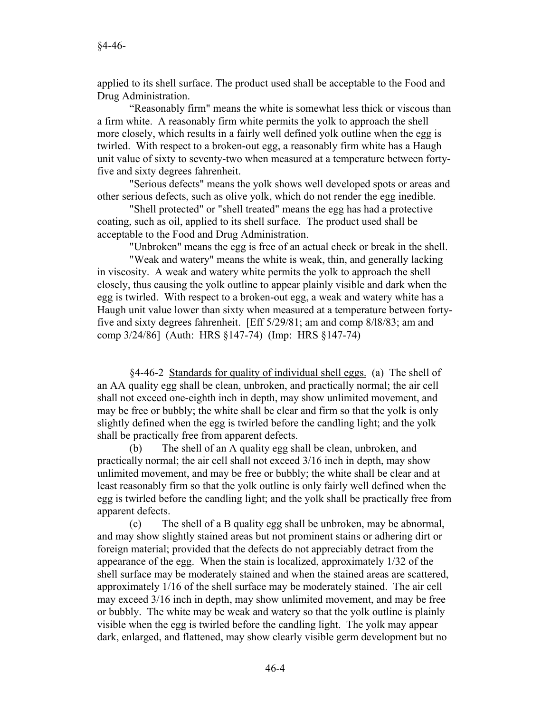applied to its shell surface. The product used shall be acceptable to the Food and Drug Administration.

"Reasonably firm" means the white is somewhat less thick or viscous than a firm white. A reasonably firm white permits the yolk to approach the shell more closely, which results in a fairly well defined yolk outline when the egg is twirled. With respect to a broken-out egg, a reasonably firm white has a Haugh unit value of sixty to seventy-two when measured at a temperature between fortyfive and sixty degrees fahrenheit.

"Serious defects" means the yolk shows well developed spots or areas and other serious defects, such as olive yolk, which do not render the egg inedible.

"Shell protected" or "shell treated" means the egg has had a protective coating, such as oil, applied to its shell surface. The product used shall be acceptable to the Food and Drug Administration.

"Unbroken" means the egg is free of an actual check or break in the shell.

"Weak and watery" means the white is weak, thin, and generally lacking in viscosity. A weak and watery white permits the yolk to approach the shell closely, thus causing the yolk outline to appear plainly visible and dark when the egg is twirled. With respect to a broken-out egg, a weak and watery white has a Haugh unit value lower than sixty when measured at a temperature between fortyfive and sixty degrees fahrenheit. [Eff 5/29/81; am and comp 8/l8/83; am and comp 3/24/86] (Auth: HRS §147-74) (Imp: HRS §147-74)

§4-46-2 Standards for quality of individual shell eggs. (a) The shell of an AA quality egg shall be clean, unbroken, and practically normal; the air cell shall not exceed one-eighth inch in depth, may show unlimited movement, and may be free or bubbly; the white shall be clear and firm so that the yolk is only slightly defined when the egg is twirled before the candling light; and the yolk shall be practically free from apparent defects.

(b) The shell of an A quality egg shall be clean, unbroken, and practically normal; the air cell shall not exceed 3/16 inch in depth, may show unlimited movement, and may be free or bubbly; the white shall be clear and at least reasonably firm so that the yolk outline is only fairly well defined when the egg is twirled before the candling light; and the yolk shall be practically free from apparent defects.

(c) The shell of a B quality egg shall be unbroken, may be abnormal, and may show slightly stained areas but not prominent stains or adhering dirt or foreign material; provided that the defects do not appreciably detract from the appearance of the egg. When the stain is localized, approximately 1/32 of the shell surface may be moderately stained and when the stained areas are scattered, approximately 1/16 of the shell surface may be moderately stained. The air cell may exceed 3/16 inch in depth, may show unlimited movement, and may be free or bubbly. The white may be weak and watery so that the yolk outline is plainly visible when the egg is twirled before the candling light. The yolk may appear dark, enlarged, and flattened, may show clearly visible germ development but no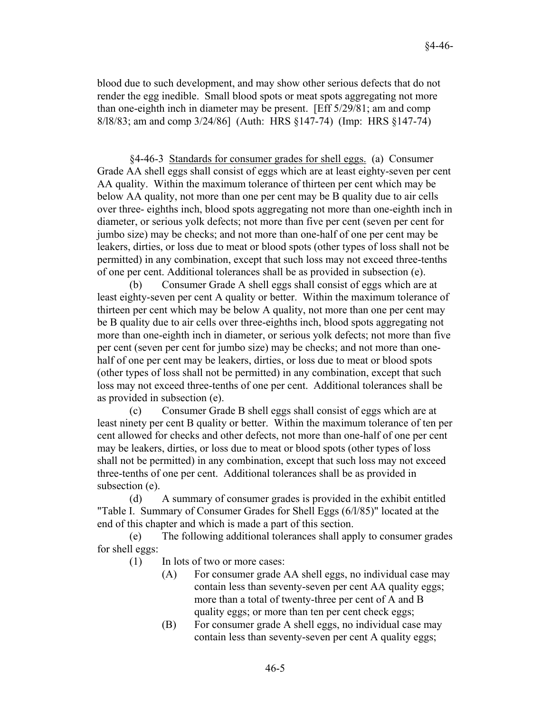blood due to such development, and may show other serious defects that do not render the egg inedible. Small blood spots or meat spots aggregating not more than one-eighth inch in diameter may be present. [Eff 5/29/81; am and comp 8/l8/83; am and comp 3/24/86] (Auth: HRS §147-74) (Imp: HRS §147-74)

§4-46-3 Standards for consumer grades for shell eggs. (a) Consumer Grade AA shell eggs shall consist of eggs which are at least eighty-seven per cent AA quality. Within the maximum tolerance of thirteen per cent which may be below AA quality, not more than one per cent may be B quality due to air cells over three- eighths inch, blood spots aggregating not more than one-eighth inch in diameter, or serious yolk defects; not more than five per cent (seven per cent for jumbo size) may be checks; and not more than one-half of one per cent may be leakers, dirties, or loss due to meat or blood spots (other types of loss shall not be permitted) in any combination, except that such loss may not exceed three-tenths of one per cent. Additional tolerances shall be as provided in subsection (e).

(b) Consumer Grade A shell eggs shall consist of eggs which are at least eighty-seven per cent A quality or better. Within the maximum tolerance of thirteen per cent which may be below A quality, not more than one per cent may be B quality due to air cells over three-eighths inch, blood spots aggregating not more than one-eighth inch in diameter, or serious yolk defects; not more than five per cent (seven per cent for jumbo size) may be checks; and not more than onehalf of one per cent may be leakers, dirties, or loss due to meat or blood spots (other types of loss shall not be permitted) in any combination, except that such loss may not exceed three-tenths of one per cent. Additional tolerances shall be as provided in subsection (e).

(c) Consumer Grade B shell eggs shall consist of eggs which are at least ninety per cent B quality or better. Within the maximum tolerance of ten per cent allowed for checks and other defects, not more than one-half of one per cent may be leakers, dirties, or loss due to meat or blood spots (other types of loss shall not be permitted) in any combination, except that such loss may not exceed three-tenths of one per cent. Additional tolerances shall be as provided in subsection (e).

(d) A summary of consumer grades is provided in the exhibit entitled "Table I. Summary of Consumer Grades for Shell Eggs (6/l/85)" located at the end of this chapter and which is made a part of this section.

(e) The following additional tolerances shall apply to consumer grades for shell eggs:

- (1) In lots of two or more cases:
	- (A) For consumer grade AA shell eggs, no individual case may contain less than seventy-seven per cent AA quality eggs; more than a total of twenty-three per cent of A and B quality eggs; or more than ten per cent check eggs;
	- (B) For consumer grade A shell eggs, no individual case may contain less than seventy-seven per cent A quality eggs;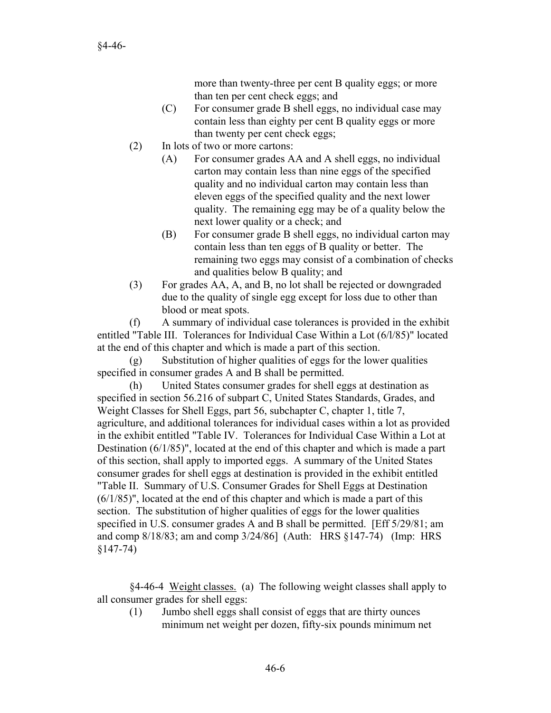more than twenty-three per cent B quality eggs; or more than ten per cent check eggs; and

- (C) For consumer grade B shell eggs, no individual case may contain less than eighty per cent B quality eggs or more than twenty per cent check eggs;
- (2) In lots of two or more cartons:
	- (A) For consumer grades AA and A shell eggs, no individual carton may contain less than nine eggs of the specified quality and no individual carton may contain less than eleven eggs of the specified quality and the next lower quality. The remaining egg may be of a quality below the next lower quality or a check; and
	- (B) For consumer grade B shell eggs, no individual carton may contain less than ten eggs of B quality or better. The remaining two eggs may consist of a combination of checks and qualities below B quality; and
- (3) For grades AA, A, and B, no lot shall be rejected or downgraded due to the quality of single egg except for loss due to other than blood or meat spots.

(f) A summary of individual case tolerances is provided in the exhibit entitled "Table III. Tolerances for Individual Case Within a Lot (6/l/85)" located at the end of this chapter and which is made a part of this section.

(g) Substitution of higher qualities of eggs for the lower qualities specified in consumer grades A and B shall be permitted.

(h) United States consumer grades for shell eggs at destination as specified in section 56.216 of subpart C, United States Standards, Grades, and Weight Classes for Shell Eggs, part 56, subchapter C, chapter 1, title 7, agriculture, and additional tolerances for individual cases within a lot as provided in the exhibit entitled "Table IV. Tolerances for Individual Case Within a Lot at Destination (6/1/85)", located at the end of this chapter and which is made a part of this section, shall apply to imported eggs. A summary of the United States consumer grades for shell eggs at destination is provided in the exhibit entitled "Table II. Summary of U.S. Consumer Grades for Shell Eggs at Destination (6/1/85)", located at the end of this chapter and which is made a part of this section. The substitution of higher qualities of eggs for the lower qualities specified in U.S. consumer grades A and B shall be permitted. [Eff 5/29/81; am and comp 8/18/83; am and comp 3/24/86] (Auth: HRS §147-74) (Imp: HRS §147-74)

§4-46-4 Weight classes. (a) The following weight classes shall apply to all consumer grades for shell eggs:

(1) Jumbo shell eggs shall consist of eggs that are thirty ounces minimum net weight per dozen, fifty-six pounds minimum net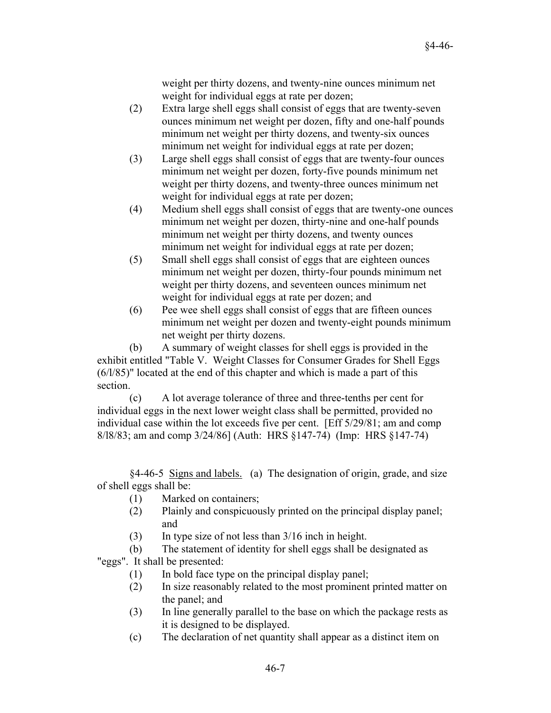weight per thirty dozens, and twenty-nine ounces minimum net weight for individual eggs at rate per dozen;

- (2) Extra large shell eggs shall consist of eggs that are twenty-seven ounces minimum net weight per dozen, fifty and one-half pounds minimum net weight per thirty dozens, and twenty-six ounces minimum net weight for individual eggs at rate per dozen;
- (3) Large shell eggs shall consist of eggs that are twenty-four ounces minimum net weight per dozen, forty-five pounds minimum net weight per thirty dozens, and twenty-three ounces minimum net weight for individual eggs at rate per dozen;
- (4) Medium shell eggs shall consist of eggs that are twenty-one ounces minimum net weight per dozen, thirty-nine and one-half pounds minimum net weight per thirty dozens, and twenty ounces minimum net weight for individual eggs at rate per dozen;
- (5) Small shell eggs shall consist of eggs that are eighteen ounces minimum net weight per dozen, thirty-four pounds minimum net weight per thirty dozens, and seventeen ounces minimum net weight for individual eggs at rate per dozen; and
- (6) Pee wee shell eggs shall consist of eggs that are fifteen ounces minimum net weight per dozen and twenty-eight pounds minimum net weight per thirty dozens.

(b) A summary of weight classes for shell eggs is provided in the exhibit entitled "Table V. Weight Classes for Consumer Grades for Shell Eggs (6/l/85)" located at the end of this chapter and which is made a part of this section.

(c) A lot average tolerance of three and three-tenths per cent for individual eggs in the next lower weight class shall be permitted, provided no individual case within the lot exceeds five per cent. [Eff 5/29/81; am and comp 8/l8/83; am and comp 3/24/86] (Auth: HRS §147-74) (Imp: HRS §147-74)

§4-46-5 Signs and labels. (a) The designation of origin, grade, and size of shell eggs shall be:

- (1) Marked on containers;
- (2) Plainly and conspicuously printed on the principal display panel; and
- (3) In type size of not less than 3/16 inch in height.

(b) The statement of identity for shell eggs shall be designated as

"eggs". It shall be presented:

- (1) In bold face type on the principal display panel;
- (2) In size reasonably related to the most prominent printed matter on the panel; and
- (3) In line generally parallel to the base on which the package rests as it is designed to be displayed.
- (c) The declaration of net quantity shall appear as a distinct item on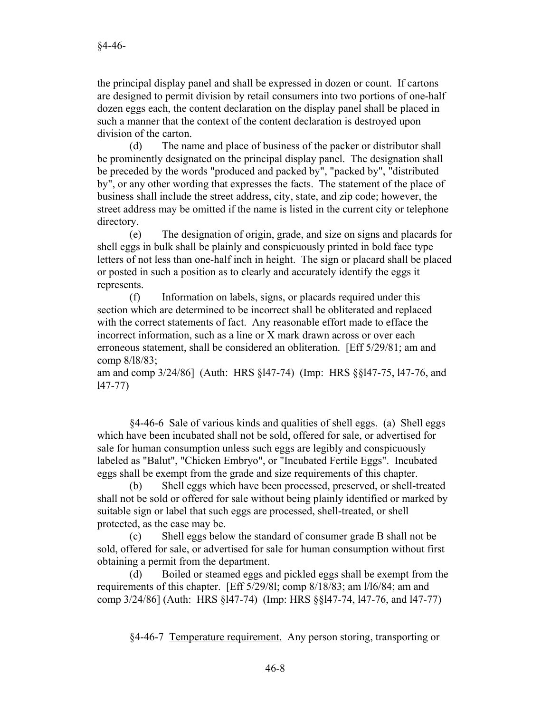the principal display panel and shall be expressed in dozen or count. If cartons are designed to permit division by retail consumers into two portions of one-half dozen eggs each, the content declaration on the display panel shall be placed in such a manner that the context of the content declaration is destroyed upon division of the carton.

(d) The name and place of business of the packer or distributor shall be prominently designated on the principal display panel. The designation shall be preceded by the words "produced and packed by", "packed by", "distributed by", or any other wording that expresses the facts. The statement of the place of business shall include the street address, city, state, and zip code; however, the street address may be omitted if the name is listed in the current city or telephone directory.

(e) The designation of origin, grade, and size on signs and placards for shell eggs in bulk shall be plainly and conspicuously printed in bold face type letters of not less than one-half inch in height. The sign or placard shall be placed or posted in such a position as to clearly and accurately identify the eggs it represents.

(f) Information on labels, signs, or placards required under this section which are determined to be incorrect shall be obliterated and replaced with the correct statements of fact. Any reasonable effort made to efface the incorrect information, such as a line or X mark drawn across or over each erroneous statement, shall be considered an obliteration. [Eff 5/29/81; am and comp 8/l8/83;

am and comp 3/24/86] (Auth: HRS §l47-74) (Imp: HRS §§l47-75, l47-76, and l47-77)

§4-46-6 Sale of various kinds and qualities of shell eggs. (a) Shell eggs which have been incubated shall not be sold, offered for sale, or advertised for sale for human consumption unless such eggs are legibly and conspicuously labeled as "Balut", "Chicken Embryo", or "Incubated Fertile Eggs". Incubated eggs shall be exempt from the grade and size requirements of this chapter.

(b) Shell eggs which have been processed, preserved, or shell-treated shall not be sold or offered for sale without being plainly identified or marked by suitable sign or label that such eggs are processed, shell-treated, or shell protected, as the case may be.

(c) Shell eggs below the standard of consumer grade B shall not be sold, offered for sale, or advertised for sale for human consumption without first obtaining a permit from the department.

(d) Boiled or steamed eggs and pickled eggs shall be exempt from the requirements of this chapter. [Eff 5/29/8l; comp 8/18/83; am l/l6/84; am and comp 3/24/86] (Auth: HRS §l47-74) (Imp: HRS §§l47-74, l47-76, and l47-77)

§4-46-7 Temperature requirement. Any person storing, transporting or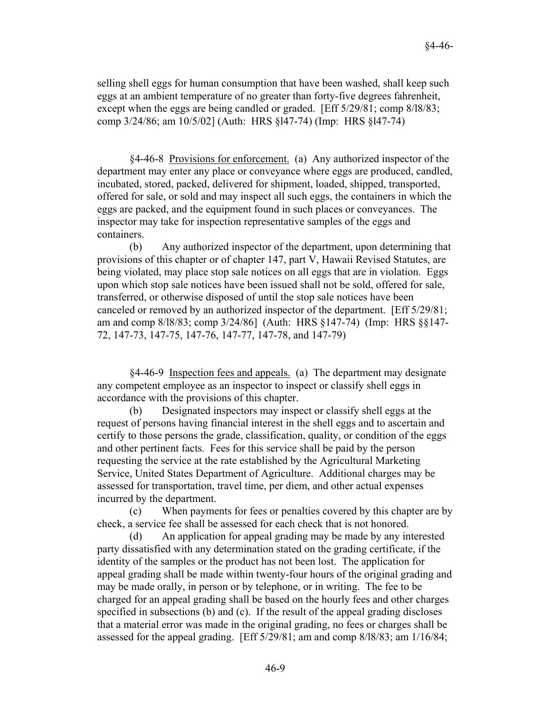selling shell eggs for human consumption that have been washed, shall keep such eggs at an ambient temperature of no greater than forty-five degrees fahrenheit, except when the eggs are being candled or graded. [Eff 5/29/81; comp 8/l8/83; comp 3/24/86; am 10/5/02] (Auth: HRS §l47-74) (Imp: HRS §l47-74)

§4-46-8 Provisions for enforcement. (a) Any authorized inspector of the department may enter any place or conveyance where eggs are produced, candled, incubated, stored, packed, delivered for shipment, loaded, shipped, transported, offered for sale, or sold and may inspect all such eggs, the containers in which the eggs are packed, and the equipment found in such places or conveyances. The inspector may take for inspection representative samples of the eggs and containers.

(b) Any authorized inspector of the department, upon determining that provisions of this chapter or of chapter 147, part V, Hawaii Revised Statutes, are being violated, may place stop sale notices on all eggs that are in violation. Eggs upon which stop sale notices have been issued shall not be sold, offered for sale, transferred, or otherwise disposed of until the stop sale notices have been canceled or removed by an authorized inspector of the department. [Eff 5/29/81; am and comp 8/l8/83; comp 3/24/86] (Auth: HRS §147-74) (Imp: HRS §§147- 72, 147-73, 147-75, 147-76, 147-77, 147-78, and 147-79)

§4-46-9 Inspection fees and appeals. (a) The department may designate any competent employee as an inspector to inspect or classify shell eggs in accordance with the provisions of this chapter.

(b) Designated inspectors may inspect or classify shell eggs at the request of persons having financial interest in the shell eggs and to ascertain and certify to those persons the grade, classification, quality, or condition of the eggs and other pertinent facts. Fees for this service shall be paid by the person requesting the service at the rate established by the Agricultural Marketing Service, United States Department of Agriculture. Additional charges may be assessed for transportation, travel time, per diem, and other actual expenses incurred by the department.

(c) When payments for fees or penalties covered by this chapter are by check, a service fee shall be assessed for each check that is not honored.

(d) An application for appeal grading may be made by any interested party dissatisfied with any determination stated on the grading certificate, if the identity of the samples or the product has not been lost. The application for appeal grading shall be made within twenty-four hours of the original grading and may be made orally, in person or by telephone, or in writing. The fee to be charged for an appeal grading shall be based on the hourly fees and other charges specified in subsections (b) and (c). If the result of the appeal grading discloses that a material error was made in the original grading, no fees or charges shall be assessed for the appeal grading. [Eff 5/29/81; am and comp 8/l8/83; am 1/16/84;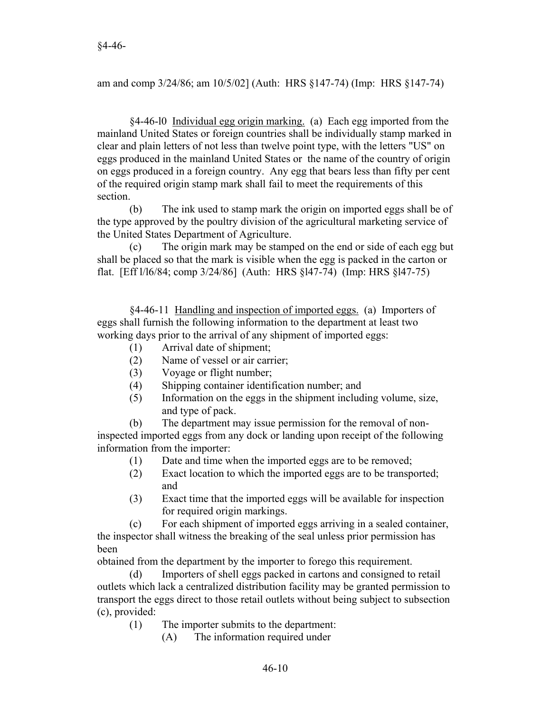am and comp 3/24/86; am 10/5/02] (Auth: HRS §147-74) (Imp: HRS §147-74)

§4-46-l0 Individual egg origin marking. (a) Each egg imported from the mainland United States or foreign countries shall be individually stamp marked in clear and plain letters of not less than twelve point type, with the letters "US" on eggs produced in the mainland United States or the name of the country of origin on eggs produced in a foreign country. Any egg that bears less than fifty per cent of the required origin stamp mark shall fail to meet the requirements of this section.

(b) The ink used to stamp mark the origin on imported eggs shall be of the type approved by the poultry division of the agricultural marketing service of the United States Department of Agriculture.

(c) The origin mark may be stamped on the end or side of each egg but shall be placed so that the mark is visible when the egg is packed in the carton or flat. [Eff l/l6/84; comp 3/24/86] (Auth: HRS §l47-74) (Imp: HRS §l47-75)

§4-46-11 Handling and inspection of imported eggs. (a) Importers of eggs shall furnish the following information to the department at least two working days prior to the arrival of any shipment of imported eggs:

- (1) Arrival date of shipment;
- (2) Name of vessel or air carrier;
- (3) Voyage or flight number;
- (4) Shipping container identification number; and
- (5) Information on the eggs in the shipment including volume, size, and type of pack.

(b) The department may issue permission for the removal of noninspected imported eggs from any dock or landing upon receipt of the following information from the importer:

- (1) Date and time when the imported eggs are to be removed;
- (2) Exact location to which the imported eggs are to be transported; and
- (3) Exact time that the imported eggs will be available for inspection for required origin markings.

(c) For each shipment of imported eggs arriving in a sealed container, the inspector shall witness the breaking of the seal unless prior permission has been

obtained from the department by the importer to forego this requirement.

(d) Importers of shell eggs packed in cartons and consigned to retail outlets which lack a centralized distribution facility may be granted permission to transport the eggs direct to those retail outlets without being subject to subsection (c), provided:

(1) The importer submits to the department:

(A) The information required under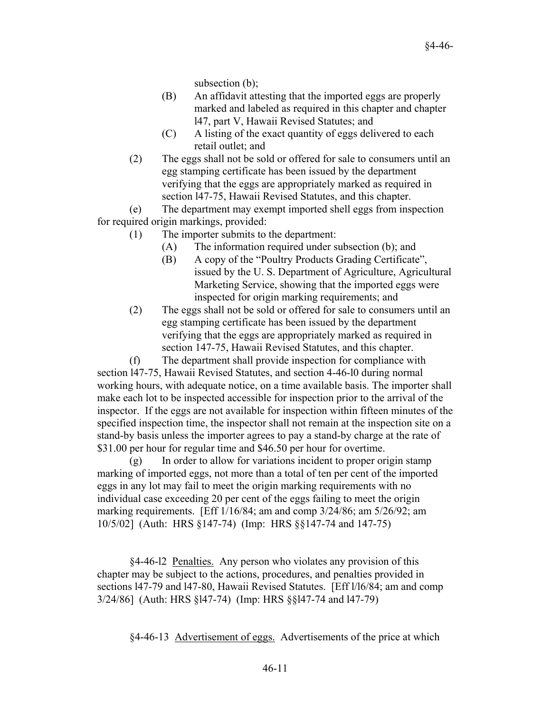subsection (b);

- (B) An affidavit attesting that the imported eggs are properly marked and labeled as required in this chapter and chapter l47, part V, Hawaii Revised Statutes; and
- (C) A listing of the exact quantity of eggs delivered to each retail outlet; and
- (2) The eggs shall not be sold or offered for sale to consumers until an egg stamping certificate has been issued by the department verifying that the eggs are appropriately marked as required in section l47-75, Hawaii Revised Statutes, and this chapter.

(e) The department may exempt imported shell eggs from inspection for required origin markings, provided:

- (1) The importer submits to the department:
	- (A) The information required under subsection (b); and
	- (B) A copy of the "Poultry Products Grading Certificate", issued by the U. S. Department of Agriculture, Agricultural Marketing Service, showing that the imported eggs were inspected for origin marking requirements; and
- (2) The eggs shall not be sold or offered for sale to consumers until an egg stamping certificate has been issued by the department verifying that the eggs are appropriately marked as required in section 147-75, Hawaii Revised Statutes, and this chapter.

(f) The department shall provide inspection for compliance with section l47-75, Hawaii Revised Statutes, and section 4-46-l0 during normal working hours, with adequate notice, on a time available basis. The importer shall make each lot to be inspected accessible for inspection prior to the arrival of the inspector. If the eggs are not available for inspection within fifteen minutes of the specified inspection time, the inspector shall not remain at the inspection site on a stand-by basis unless the importer agrees to pay a stand-by charge at the rate of \$31.00 per hour for regular time and \$46.50 per hour for overtime.

(g) In order to allow for variations incident to proper origin stamp marking of imported eggs, not more than a total of ten per cent of the imported eggs in any lot may fail to meet the origin marking requirements with no individual case exceeding 20 per cent of the eggs failing to meet the origin marking requirements. [Eff 1/16/84; am and comp 3/24/86; am 5/26/92; am 10/5/02] (Auth: HRS §147-74) (Imp: HRS §§147-74 and 147-75)

§4-46-l2 Penalties. Any person who violates any provision of this chapter may be subject to the actions, procedures, and penalties provided in sections l47-79 and l47-80, Hawaii Revised Statutes. [Eff l/l6/84; am and comp 3/24/86] (Auth: HRS §l47-74) (Imp: HRS §§l47-74 and l47-79)

§4-46-13 Advertisement of eggs. Advertisements of the price at which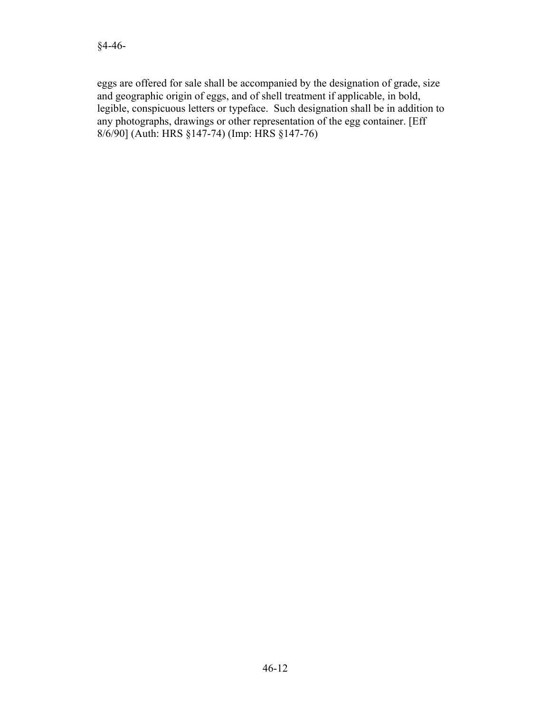eggs are offered for sale shall be accompanied by the designation of grade, size and geographic origin of eggs, and of shell treatment if applicable, in bold, legible, conspicuous letters or typeface. Such designation shall be in addition to any photographs, drawings or other representation of the egg container. [Eff 8/6/90] (Auth: HRS §147-74) (Imp: HRS §147-76)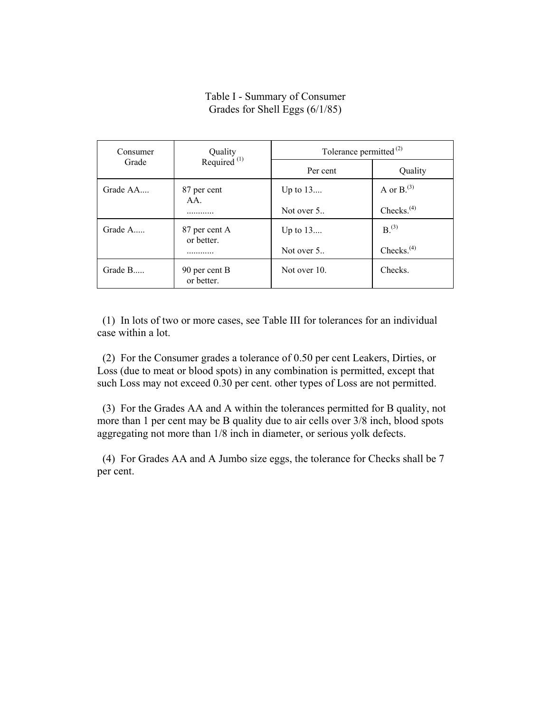## Table I - Summary of Consumer Grades for Shell Eggs (6/1/85)

| Consumer<br>Grade | Quality<br>Required $(1)$   | Tolerance permitted <sup>(2)</sup> |                        |
|-------------------|-----------------------------|------------------------------------|------------------------|
|                   |                             | Per cent                           | Quality                |
| Grade $AA$        | 87 per cent<br>$AA$ .       | Up to $13$                         | A or $B^{(3)}$         |
|                   |                             | Not over 5                         | Checks. $(4)$          |
| Grade $A$         | 87 per cent A<br>or better. | Up to $13$                         | $B^{(3)}$              |
|                   |                             | Not over 5                         | Checks. <sup>(4)</sup> |
| Grade $B$         | 90 per cent B<br>or better. | Not over 10.                       | Checks.                |

 (1) In lots of two or more cases, see Table III for tolerances for an individual case within a lot.

 (2) For the Consumer grades a tolerance of 0.50 per cent Leakers, Dirties, or Loss (due to meat or blood spots) in any combination is permitted, except that such Loss may not exceed 0.30 per cent. other types of Loss are not permitted.

 (3) For the Grades AA and A within the tolerances permitted for B quality, not more than 1 per cent may be B quality due to air cells over 3/8 inch, blood spots aggregating not more than 1/8 inch in diameter, or serious yolk defects.

 (4) For Grades AA and A Jumbo size eggs, the tolerance for Checks shall be 7 per cent.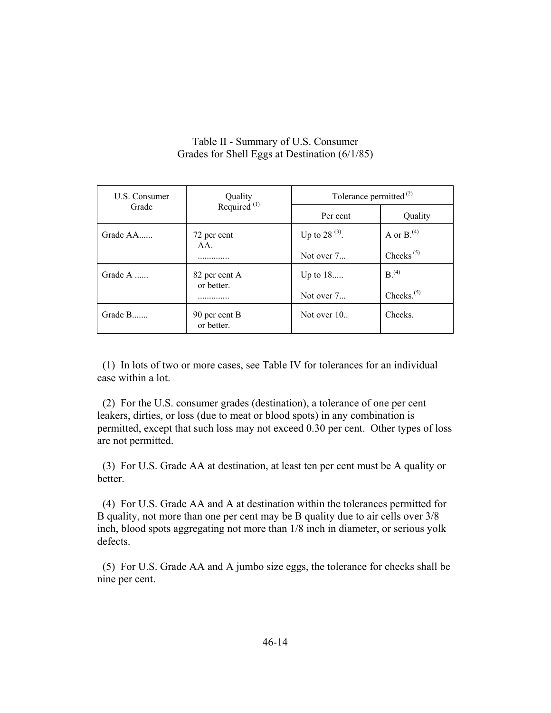## Table II - Summary of U.S. Consumer Grades for Shell Eggs at Destination (6/1/85)

| U.S. Consumer<br>Grade | Quality<br>Required <sup>(1)</sup> | Tolerance permitted <sup>(2)</sup> |                  |
|------------------------|------------------------------------|------------------------------------|------------------|
|                        |                                    | Per cent                           | Quality          |
| Grade AA               | 72 per cent                        | Up to 28 $^{(3)}$ .                | A or $B^{(4)}$ . |
|                        | AA.                                | Not over $7_{\dots}$               | $Checks^{(5)}$   |
| Grade A                | 82 per cent A<br>or better.        | Up to $18$                         | $B^{(4)}$        |
|                        |                                    | Not over $7_{\dots}$               | Checks. $(5)$    |
| Grade B                | 90 per cent B<br>or better.        | Not over $101$                     | Checks.          |

 (1) In lots of two or more cases, see Table IV for tolerances for an individual case within a lot.

 (2) For the U.S. consumer grades (destination), a tolerance of one per cent leakers, dirties, or loss (due to meat or blood spots) in any combination is permitted, except that such loss may not exceed 0.30 per cent. Other types of loss are not permitted.

 (3) For U.S. Grade AA at destination, at least ten per cent must be A quality or **better** 

 (4) For U.S. Grade AA and A at destination within the tolerances permitted for B quality, not more than one per cent may be B quality due to air cells over 3/8 inch, blood spots aggregating not more than 1/8 inch in diameter, or serious yolk defects.

 (5) For U.S. Grade AA and A jumbo size eggs, the tolerance for checks shall be nine per cent.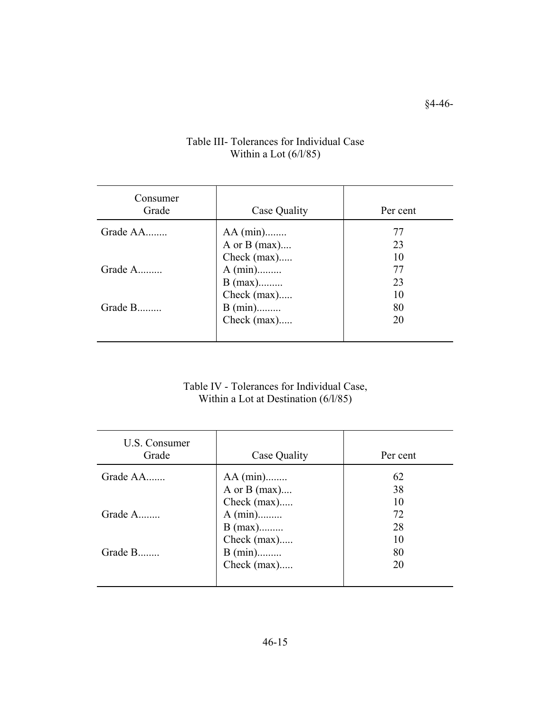| Consumer<br>Grade | Case Quality   | Per cent |
|-------------------|----------------|----------|
| Grade AA          | $AA$ (min)     | 77       |
|                   | A or $B$ (max) | 23       |
|                   | Check (max)    | 10       |
| Grade A           | $A (min)$      | 77       |
|                   | $B$ (max)      | 23       |
|                   | Check (max)    | 10       |
| Grade B           | $B (min)$      | 80       |
|                   | Check (max)    | 20       |
|                   |                |          |

# Table III- Tolerances for Individual Case Within a Lot (6/l/85)

Table IV - Tolerances for Individual Case, Within a Lot at Destination (6/l/85)

| U.S. Consumer<br>Grade | Case Quality                                  | Per cent       |
|------------------------|-----------------------------------------------|----------------|
| Grade AA               | $AA$ (min)<br>A or B $(max)$<br>Check $(max)$ | 62<br>38<br>10 |
| Grade A                | $A (min)$<br>$B$ (max)<br>Check (max)         | 72<br>28<br>10 |
| Grade B                | $B (min)$<br>Check $(max)$                    | 80<br>20       |